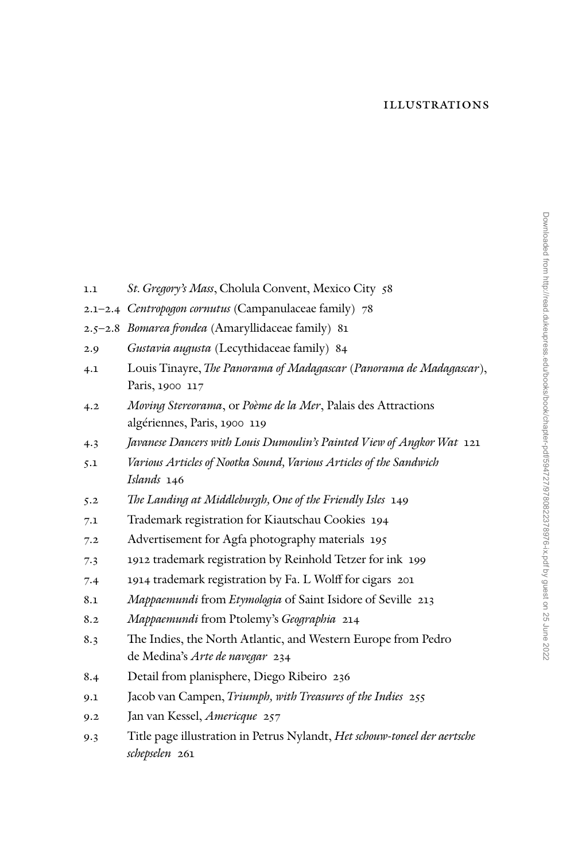## Illustrations

1.1 *St. Gregory's Mass*, Cholula Convent, Mexico City 58 2.1–2.4 *Centropogon cornutus* (Campanulaceae family) 78 2.5–2.8 *Bomarea frondea* (Amaryllidaceae family) 81 2.9 *Gustavia augusta* (Lecythidaceae family) 84 4.1 Louis Tinayre, *The Panorama of Madagascar* (*Panorama de Madagascar*), Paris, 1900 117 4.2 *Moving Stereorama*, or *Poème de la Mer*, Palais des Attractions algériennes, Paris, 1900 119 4.3 *Javanese Dancers with Louis Dumoulin's Painted View of Angkor Wat* 121 5.1 *Various Articles of Nootka Sound, Various Articles of the Sandwich Islands* 146 5.2 *The Landing at Middleburgh, One of the Friendly Isles* 149 7.1 Trademark registration for Kiautschau Cookies 194 7.2 Advertisement for Agfa photography materials 195 7.3 1912 trademark registration by Reinhold Tetzer for ink 199 7.4 1914 trademark registration by Fa. L Wolff for cigars 201 8.1 *Mappaemundi* from *Etymologia* of Saint Isidore of Seville 213 8.2 *Mappaemundi* from Ptolemy's *Geographia* 214 8.3 The Indies, the North Atlantic, and Western Europe from Pedro de Medina's *Arte de navegar* 234 8.4 Detail from planisphere, Diego Ribeiro 236 9.1 Jacob van Campen, *Triumph, with Treasures of the Indies* 255 9.2 Jan van Kessel, *Americque* 257 9.3 Title page illustration in Petrus Nylandt, *Het schouw-toneel der aertsche schepselen* 261